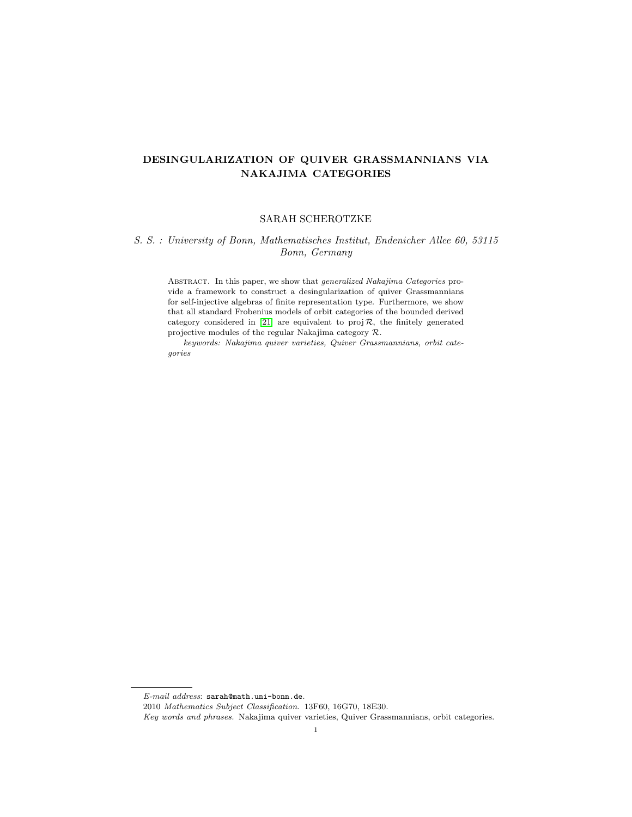# DESINGULARIZATION OF QUIVER GRASSMANNIANS VIA NAKAJIMA CATEGORIES

# SARAH SCHEROTZKE

# S. S. : University of Bonn, Mathematisches Institut, Endenicher Allee 60, 53115 Bonn, Germany

ABSTRACT. In this paper, we show that *generalized Nakajima Categories* provide a framework to construct a desingularization of quiver Grassmannians for self-injective algebras of finite representation type. Furthermore, we show that all standard Frobenius models of orbit categories of the bounded derived category considered in [\[21\]](#page-12-0) are equivalent to  $proj R$ , the finitely generated projective modules of the regular Nakajima category R.

keywords: Nakajima quiver varieties, Quiver Grassmannians, orbit categories

 $E\text{-}mail address: \texttt{sarah@math}.uni-bonn.de.$ 

<sup>2010</sup> Mathematics Subject Classification. 13F60, 16G70, 18E30.

Key words and phrases. Nakajima quiver varieties, Quiver Grassmannians, orbit categories.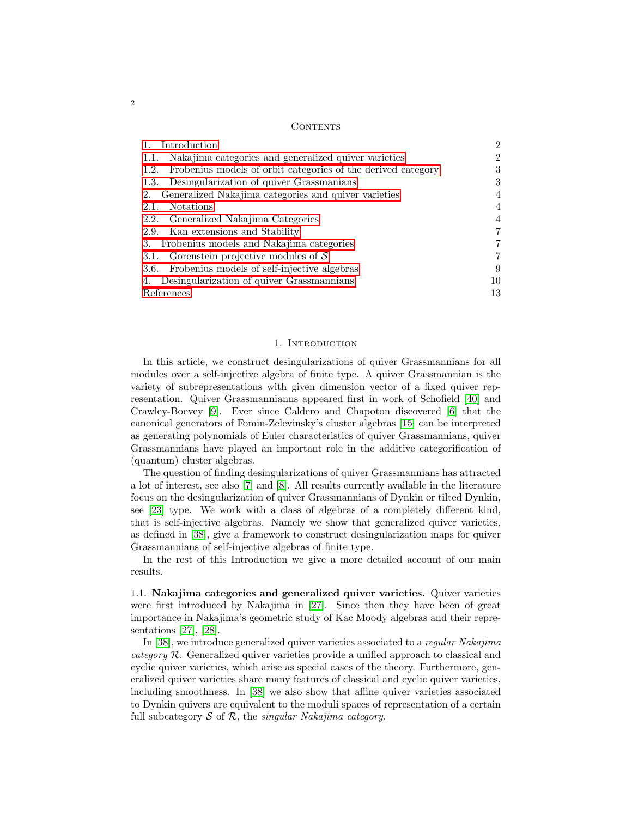### **CONTENTS**

| Introduction                                                         | 2  |
|----------------------------------------------------------------------|----|
| Nakajima categories and generalized quiver varieties<br>1.1.         | ິ  |
| Frobenius models of orbit categories of the derived category<br>1.2. |    |
| Desingularization of quiver Grassmanians<br>1.3.                     | 3  |
| Generalized Nakajima categories and quiver varieties<br>2.           |    |
| <b>Notations</b><br>2.1.                                             |    |
| 2.2. Generalized Nakajima Categories                                 |    |
| 2.9. Kan extensions and Stability                                    |    |
| 3. Frobenius models and Nakajima categories                          |    |
| 3.1. Gorenstein projective modules of $\mathcal S$                   |    |
| 3.6. Frobenius models of self-injective algebras                     | 9  |
| Desingularization of quiver Grassmannians<br>4.                      | 10 |
| References                                                           | 13 |

### 1. INTRODUCTION

<span id="page-1-0"></span>In this article, we construct desingularizations of quiver Grassmannians for all modules over a self-injective algebra of finite type. A quiver Grassmannian is the variety of subrepresentations with given dimension vector of a fixed quiver representation. Quiver Grassmannianns appeared first in work of Schofield [\[40\]](#page-13-0) and Crawley-Boevey [\[9\]](#page-12-2). Ever since Caldero and Chapoton discovered [\[6\]](#page-12-3) that the canonical generators of Fomin-Zelevinsky's cluster algebras [\[15\]](#page-12-4) can be interpreted as generating polynomials of Euler characteristics of quiver Grassmannians, quiver Grassmannians have played an important role in the additive categorification of (quantum) cluster algebras.

The question of finding desingularizations of quiver Grassmannians has attracted a lot of interest, see also [\[7\]](#page-12-5) and [\[8\]](#page-12-6). All results currently available in the literature focus on the desingularization of quiver Grassmannians of Dynkin or tilted Dynkin, see [\[23\]](#page-12-7) type. We work with a class of algebras of a completely different kind, that is self-injective algebras. Namely we show that generalized quiver varieties, as defined in [\[38\]](#page-13-1), give a framework to construct desingularization maps for quiver Grassmannians of self-injective algebras of finite type.

In the rest of this Introduction we give a more detailed account of our main results.

<span id="page-1-1"></span>1.1. Nakajima categories and generalized quiver varieties. Quiver varieties were first introduced by Nakajima in [\[27\]](#page-13-2). Since then they have been of great importance in Nakajima's geometric study of Kac Moody algebras and their representations [\[27\]](#page-13-2), [\[28\]](#page-13-3).

In [\[38\]](#page-13-1), we introduce generalized quiver varieties associated to a regular Nakajima category R. Generalized quiver varieties provide a unified approach to classical and cyclic quiver varieties, which arise as special cases of the theory. Furthermore, generalized quiver varieties share many features of classical and cyclic quiver varieties, including smoothness. In [\[38\]](#page-13-1) we also show that affine quiver varieties associated to Dynkin quivers are equivalent to the moduli spaces of representation of a certain full subcategory  $S$  of  $R$ , the *singular Nakajima category*.

2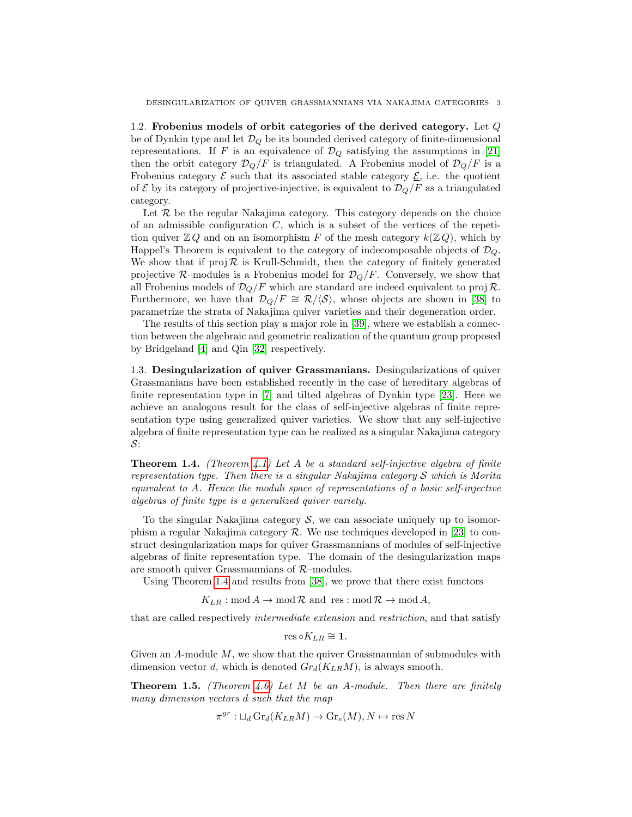<span id="page-2-0"></span>1.2. Frobenius models of orbit categories of the derived category. Let Q be of Dynkin type and let  $\mathcal{D}_{Q}$  be its bounded derived category of finite-dimensional representations. If F is an equivalence of  $\mathcal{D}_Q$  satisfying the assumptions in [\[21\]](#page-12-0) then the orbit category  $\mathcal{D}_Q/F$  is triangulated. A Frobenius model of  $\mathcal{D}_Q/F$  is a Frobenius category  $\mathcal E$  such that its associated stable category  $\mathcal E$ , i.e. the quotient of E by its category of projective-injective, is equivalent to  $\mathcal{D}_Q/F$  as a triangulated category.

Let  $R$  be the regular Nakajima category. This category depends on the choice of an admissible configuration  $C$ , which is a subset of the vertices of the repetition quiver  $\mathbb{Z} Q$  and on an isomorphism F of the mesh category  $k(\mathbb{Z} Q)$ , which by Happel's Theorem is equivalent to the category of indecomposable objects of  $\mathcal{D}_Q$ . We show that if  $proj \mathcal{R}$  is Krull-Schmidt, then the category of finitely generated projective  $\mathcal{R}\text{-modules}$  is a Frobenius model for  $\mathcal{D}_Q/F$ . Conversely, we show that all Frobenius models of  $\mathcal{D}_Q/F$  which are standard are indeed equivalent to proj R. Furthermore, we have that  $\mathcal{D}_Q/F \cong \mathcal{R}/\langle \mathcal{S} \rangle$ , whose objects are shown in [\[38\]](#page-13-1) to parametrize the strata of Nakajima quiver varieties and their degeneration order.

The results of this section play a major role in [\[39\]](#page-13-4), where we establish a connection between the algebraic and geometric realization of the quantum group proposed by Bridgeland [\[4\]](#page-12-8) and Qin [\[32\]](#page-13-5) respectively.

<span id="page-2-1"></span>1.3. Desingularization of quiver Grassmanians. Desingularizations of quiver Grassmanians have been established recently in the case of hereditary algebras of finite representation type in [\[7\]](#page-12-5) and tilted algebras of Dynkin type [\[23\]](#page-12-7). Here we achieve an analogous result for the class of self-injective algebras of finite representation type using generalized quiver varieties. We show that any self-injective algebra of finite representation type can be realized as a singular Nakajima category S:

<span id="page-2-2"></span>**Theorem 1.4.** (Theorem [4.1\)](#page-9-1) Let A be a standard self-injective algebra of finite representation type. Then there is a singular Nakajima category  $S$  which is Morita equivalent to A. Hence the moduli space of representations of a basic self-injective algebras of finite type is a generalized quiver variety.

To the singular Nakajima category  $S$ , we can associate uniquely up to isomorphism a regular Nakajima category  $\mathcal R$ . We use techniques developed in [\[23\]](#page-12-7) to construct desingularization maps for quiver Grassmannians of modules of self-injective algebras of finite representation type. The domain of the desingularization maps are smooth quiver Grassmannians of  $R$ –modules.

Using Theorem [1.4](#page-2-2) and results from [\[38\]](#page-13-1), we prove that there exist functors

 $K_{LR}: \text{mod } A \to \text{mod } \mathcal{R}$  and  $\text{res}: \text{mod } \mathcal{R} \to \text{mod } A$ ,

that are called respectively intermediate extension and restriction, and that satisfy

$$
\mathrm{res}\circ K_{LR}\cong \mathbf{1}.
$$

Given an  $A$ -module  $M$ , we show that the quiver Grassmannian of submodules with dimension vector d, which is denoted  $Gr_d(K_{LR}M)$ , is always smooth.

**Theorem 1.5.** (Theorem [4.6\)](#page-11-0) Let M be an A-module. Then there are finitely many dimension vectors d such that the map

$$
\pi^{gr}: \sqcup_d \text{Gr}_d(K_{LR}M) \to \text{Gr}_e(M), N \mapsto \text{res } N
$$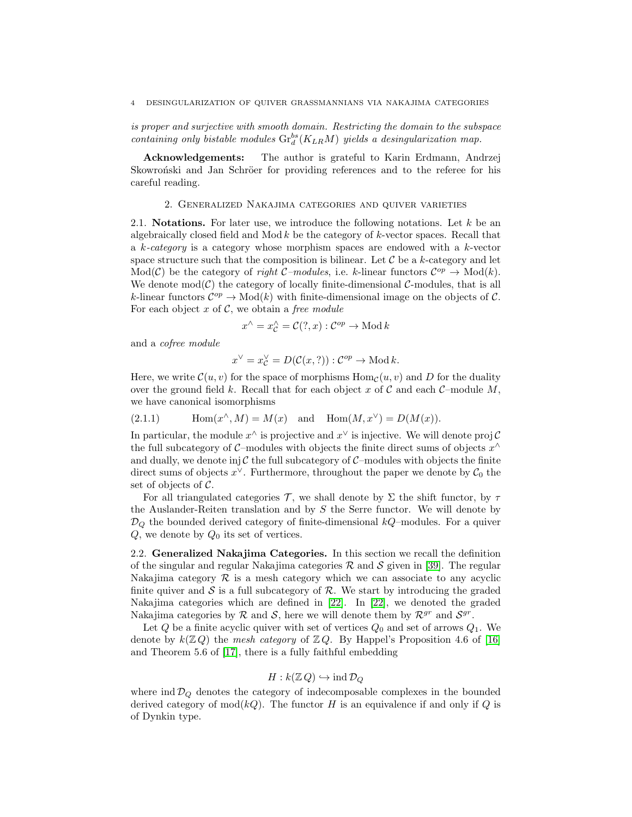### 4 DESINGULARIZATION OF QUIVER GRASSMANNIANS VIA NAKAJIMA CATEGORIES

is proper and surjective with smooth domain. Restricting the domain to the subspace containing only bistable modules  $\mathrm{Gr}^{bs}_d(K_{LR}M)$  yields a desingularization map.

Acknowledgements: The author is grateful to Karin Erdmann, Andrzej Skowron'ski and Jan Schröer for providing references and to the referee for his careful reading.

## 2. Generalized Nakajima categories and quiver varieties

<span id="page-3-1"></span><span id="page-3-0"></span>2.1. **Notations.** For later use, we introduce the following notations. Let  $k$  be an algebraically closed field and Mod  $k$  be the category of  $k$ -vector spaces. Recall that a k-category is a category whose morphism spaces are endowed with a k-vector space structure such that the composition is bilinear. Let  $\mathcal C$  be a k-category and let Mod(C) be the category of right C-modules, i.e. k-linear functors  $\mathcal{C}^{op} \to \text{Mod}(k)$ . We denote  $mod(\mathcal{C})$  the category of locally finite-dimensional  $\mathcal{C}\text{-modules}$ , that is all k-linear functors  $\mathcal{C}^{op} \to \text{Mod}(k)$  with finite-dimensional image on the objects of C. For each object  $x$  of  $C$ , we obtain a free module

$$
x^{\wedge}=x_{\mathcal{C}}^{\wedge}=\mathcal{C}(?,x):\mathcal{C}^{op}\rightarrow\mathrm{Mod}\,k
$$

and a cofree module

$$
x^{\vee}=x^{\vee}_{\mathcal{C}}=D(\mathcal{C}(x,?)): \mathcal{C}^{op}\to {\rm Mod}\, k.
$$

Here, we write  $\mathcal{C}(u, v)$  for the space of morphisms  $\text{Hom}_{\mathcal{C}}(u, v)$  and D for the duality over the ground field k. Recall that for each object x of C and each  $C$ –module M, we have canonical isomorphisms

(2.1.1) 
$$
\operatorname{Hom}(x^{\wedge}, M) = M(x) \quad \text{and} \quad \operatorname{Hom}(M, x^{\vee}) = D(M(x)).
$$

In particular, the module  $x^{\wedge}$  is projective and  $x^{\vee}$  is injective. We will denote proj  $\mathcal{C}$ the full subcategory of C–modules with objects the finite direct sums of objects  $x^{\wedge}$ and dually, we denote inj  $\mathcal C$  the full subcategory of  $\mathcal C$ -modules with objects the finite direct sums of objects  $x^{\vee}$ . Furthermore, throughout the paper we denote by  $\mathcal{C}_0$  the set of objects of C.

For all triangulated categories T, we shall denote by  $\Sigma$  the shift functor, by  $\tau$ the Auslander-Reiten translation and by  $S$  the Serre functor. We will denote by  $\mathcal{D}_Q$  the bounded derived category of finite-dimensional  $kQ$ -modules. For a quiver  $Q$ , we denote by  $Q_0$  its set of vertices.

<span id="page-3-2"></span>2.2. Generalized Nakajima Categories. In this section we recall the definition of the singular and regular Nakajima categories  $\mathcal R$  and  $\mathcal S$  given in [\[39\]](#page-13-4). The regular Nakajima category  $R$  is a mesh category which we can associate to any acyclic finite quiver and  $\mathcal S$  is a full subcategory of  $\mathcal R$ . We start by introducing the graded Nakajima categories which are defined in [\[22\]](#page-12-9). In [\[22\]](#page-12-9), we denoted the graded Nakajima categories by  $R$  and  $S$ , here we will denote them by  $R^{gr}$  and  $S^{gr}$ .

Let  $Q$  be a finite acyclic quiver with set of vertices  $Q_0$  and set of arrows  $Q_1$ . We denote by  $k(\mathbb{Z}, Q)$  the mesh category of  $\mathbb{Z}, Q$ . By Happel's Proposition 4.6 of [\[16\]](#page-12-10) and Theorem 5.6 of [\[17\]](#page-12-11), there is a fully faithful embedding

$$
H: k(\mathbb{Z} Q) \hookrightarrow \text{ind}\, \mathcal{D}_Q
$$

where  $\text{ind } \mathcal{D}_Q$  denotes the category of indecomposable complexes in the bounded derived category of mod $(kQ)$ . The functor H is an equivalence if and only if Q is of Dynkin type.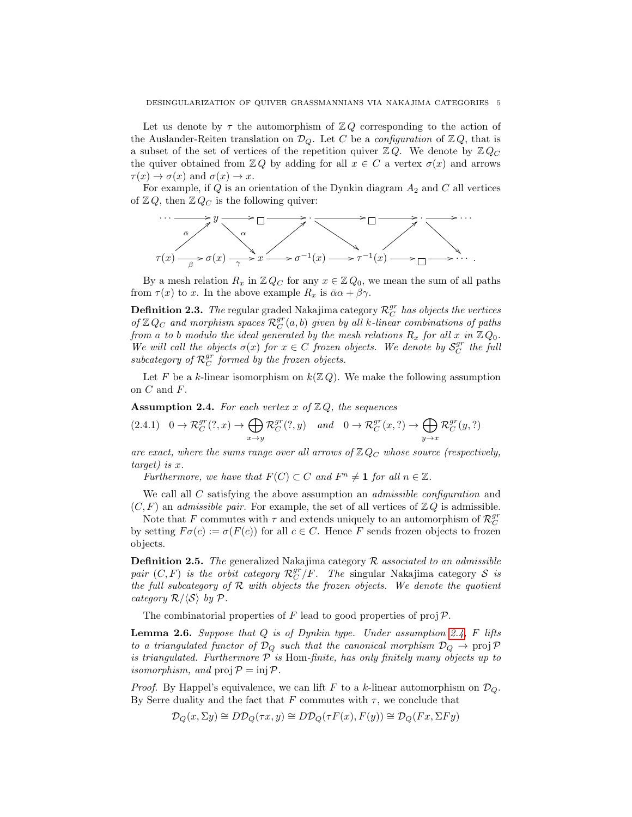Let us denote by  $\tau$  the automorphism of  $\mathbb{Z} Q$  corresponding to the action of the Auslander-Reiten translation on  $\mathcal{D}_Q$ . Let C be a configuration of  $\mathbb{Z} Q$ , that is a subset of the set of vertices of the repetition quiver  $\mathbb{Z} Q$ . We denote by  $\mathbb{Z} Q_C$ the quiver obtained from  $\mathbb{Z} Q$  by adding for all  $x \in C$  a vertex  $\sigma(x)$  and arrows  $\tau(x) \to \sigma(x)$  and  $\sigma(x) \to x$ .

For example, if  $Q$  is an orientation of the Dynkin diagram  $A_2$  and  $C$  all vertices of  $\mathbb{Z} Q$ , then  $\mathbb{Z} Q_C$  is the following quiver:



By a mesh relation  $R_x$  in  $\mathbb{Z} Q_C$  for any  $x \in \mathbb{Z} Q_0$ , we mean the sum of all paths from  $\tau(x)$  to x. In the above example  $R_x$  is  $\bar{\alpha}\alpha + \beta\gamma$ .

**Definition 2.3.** The regular graded Nakajima category  $\mathcal{R}_C^{gr}$  has objects the vertices of  $\mathbb{Z} Q_C$  and morphism spaces  $\mathcal{R}_C^{gr}(a, b)$  given by all k-linear combinations of paths from a to b modulo the ideal generated by the mesh relations  $R_x$  for all x in  $\mathbb{Z} Q_0$ . We will call the objects  $\sigma(x)$  for  $x \in C$  frozen objects. We denote by  $S_C^{gr}$  the full subcategory of  $\mathcal{R}_C^{gr}$  formed by the frozen objects.

Let F be a k-linear isomorphism on  $k(\mathbb{Z}, Q)$ . We make the following assumption on  $C$  and  $F$ .

<span id="page-4-0"></span>**Assumption 2.4.** For each vertex x of  $\mathbb{Z}Q$ , the sequences

$$
(2.4.1) \quad 0 \to \mathcal{R}_C^{gr}(?, x) \to \bigoplus_{x \to y} \mathcal{R}_C^{gr}(?, y) \quad and \quad 0 \to \mathcal{R}_C^{gr}(x, ?) \to \bigoplus_{y \to x} \mathcal{R}_C^{gr}(y, ?)
$$

are exact, where the sums range over all arrows of  $\mathbb{Z} Q_C$  whose source (respectively, target) is x.

Furthermore, we have that  $F(C) \subset C$  and  $F^n \neq \mathbf{1}$  for all  $n \in \mathbb{Z}$ .

We call all  $C$  satisfying the above assumption an *admissible configuration* and  $(C, F)$  an *admissible pair.* For example, the set of all vertices of  $\mathbb{Z} Q$  is admissible.

Note that F commutes with  $\tau$  and extends uniquely to an automorphism of  $\mathcal{R}_C^{gr}$ by setting  $F\sigma(c) := \sigma(F(c))$  for all  $c \in C$ . Hence F sends frozen objects to frozen objects.

**Definition 2.5.** The generalized Nakajima category  $\mathcal{R}$  associated to an admissible pair  $(C, F)$  is the orbit category  $\mathcal{R}_C^{gr}/F$ . The singular Nakajima category S is the full subcategory of  $R$  with objects the frozen objects. We denote the quotient category  $\mathcal{R}/\langle \mathcal{S} \rangle$  by  $\mathcal{P}$ .

The combinatorial properties of F lead to good properties of proj $\mathcal{P}$ .

**Lemma 2.6.** Suppose that  $Q$  is of Dynkin type. Under assumption [2.4,](#page-4-0) F lifts to a triangulated functor of  $\mathcal{D}_Q$  such that the canonical morphism  $\mathcal{D}_Q \to \text{proj } \mathcal{P}$ is triangulated. Furthermore  $P$  is Hom-finite, has only finitely many objects up to isomorphism, and  $proj P = inj P$ .

*Proof.* By Happel's equivalence, we can lift F to a k-linear automorphism on  $\mathcal{D}_{Q}$ . By Serre duality and the fact that F commutes with  $\tau$ , we conclude that

$$
\mathcal{D}_Q(x,\Sigma y) \cong D\mathcal{D}_Q(\tau x,y) \cong D\mathcal{D}_Q(\tau F(x),F(y)) \cong \mathcal{D}_Q(Fx,\Sigma F y)
$$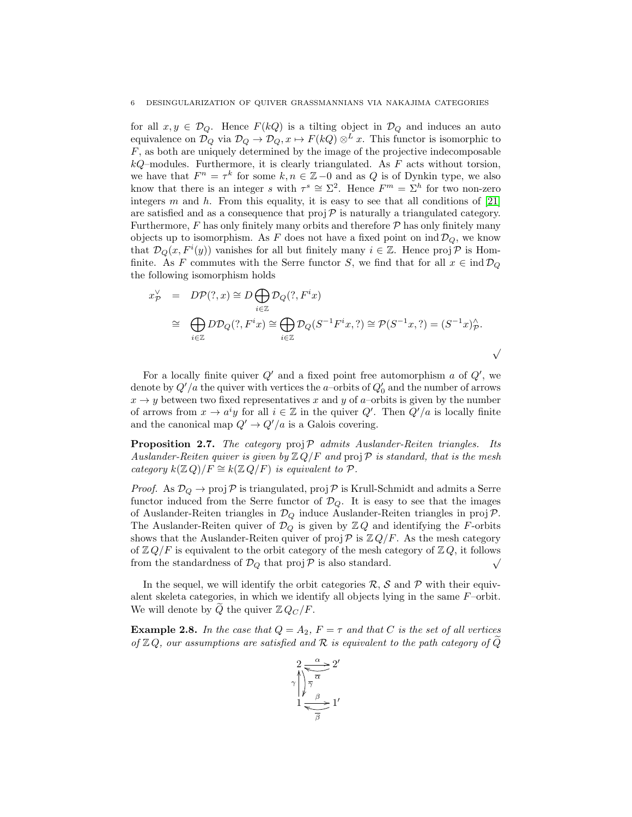for all  $x, y \in \mathcal{D}_{\mathcal{O}}$ . Hence  $F(kQ)$  is a tilting object in  $\mathcal{D}_{\mathcal{O}}$  and induces an auto equivalence on  $\mathcal{D}_Q$  via  $\mathcal{D}_Q \to \mathcal{D}_Q$ ,  $x \mapsto F(kQ) \otimes^L x$ . This functor is isomorphic to  $F$ , as both are uniquely determined by the image of the projective indecomposable  $kQ$ -modules. Furthermore, it is clearly triangulated. As  $F$  acts without torsion, we have that  $F^n = \tau^k$  for some  $k, n \in \mathbb{Z} - 0$  and as Q is of Dynkin type, we also know that there is an integer s with  $\tau^s \cong \Sigma^2$ . Hence  $F^m = \Sigma^h$  for two non-zero integers m and h. From this equality, it is easy to see that all conditions of  $[21]$ are satisfied and as a consequence that  $proj \mathcal{P}$  is naturally a triangulated category. Furthermore,  $F$  has only finitely many orbits and therefore  $\mathcal P$  has only finitely many objects up to isomorphism. As F does not have a fixed point on  $\text{ind } \mathcal{D}_Q$ , we know that  $\mathcal{D}_Q(x, F^i(y))$  vanishes for all but finitely many  $i \in \mathbb{Z}$ . Hence proj $\mathcal{P}$  is Homfinite. As F commutes with the Serre functor S, we find that for all  $x \in \text{ind } \mathcal{D}_{\mathcal{Q}}$ the following isomorphism holds

$$
x_{\mathcal{P}}^{\vee} = DP(?, x) \cong D \bigoplus_{i \in \mathbb{Z}} \mathcal{D}_{Q}(?, F^{i}x)
$$
  
\n
$$
\cong \bigoplus_{i \in \mathbb{Z}} DD_{Q}(?, F^{i}x) \cong \bigoplus_{i \in \mathbb{Z}} D_{Q}(S^{-1}F^{i}x, ?) \cong \mathcal{P}(S^{-1}x, ?) = (S^{-1}x)_{\mathcal{P}}^{\wedge}.
$$

For a locally finite quiver  $Q'$  and a fixed point free automorphism a of  $Q'$ , we denote by  $Q'/a$  the quiver with vertices the *a*-orbits of  $Q'_0$  and the number of arrows  $x \rightarrow y$  between two fixed representatives x and y of a–orbits is given by the number of arrows from  $x \to a^i y$  for all  $i \in \mathbb{Z}$  in the quiver  $Q'$ . Then  $Q'/a$  is locally finite and the canonical map  $Q' \rightarrow Q'/a$  is a Galois covering.

<span id="page-5-0"></span>**Proposition 2.7.** The category  $proj \mathcal{P}$  admits Auslander-Reiten triangles. Its Auslander-Reiten quiver is given by  $\mathbb{Z} Q/F$  and  $proj \mathcal{P}$  is standard, that is the mesh category  $k(\mathbb{Z} Q)/F \cong k(\mathbb{Z} Q/F)$  is equivalent to  $\mathcal{P}$ .

*Proof.* As  $\mathcal{D}_Q \to \text{proj } \mathcal{P}$  is triangulated,  $\text{proj } \mathcal{P}$  is Krull-Schmidt and admits a Serre functor induced from the Serre functor of  $\mathcal{D}_Q$ . It is easy to see that the images of Auslander-Reiten triangles in  $\mathcal{D}_Q$  induce Auslander-Reiten triangles in proj  $\mathcal{P}$ . The Auslander-Reiten quiver of  $\mathcal{D}_Q$  is given by  $\mathbb{Z} Q$  and identifying the F-orbits shows that the Auslander-Reiten quiver of proj  $\mathcal{P}$  is  $\mathbb{Z} Q/F$ . As the mesh category of  $\mathbb{Z} Q/F$  is equivalent to the orbit category of the mesh category of  $\mathbb{Z} Q$ , it follows from the standardness of  $\mathcal{D}_Q$  that proj  $\mathcal P$  is also standard.  $\sqrt{\phantom{a}}$ 

In the sequel, we will identify the orbit categories  $\mathcal{R}, \mathcal{S}$  and  $\mathcal{P}$  with their equivalent skeleta categories, in which we identify all objects lying in the same F–orbit. We will denote by Q the quiver  $\mathbb{Z} Q_C/F$ .

**Example 2.8.** In the case that  $Q = A_2$ ,  $F = \tau$  and that C is the set of all vertices of  $\mathbb{Z} Q$ , our assumptions are satisfied and R is equivalent to the path category of Q

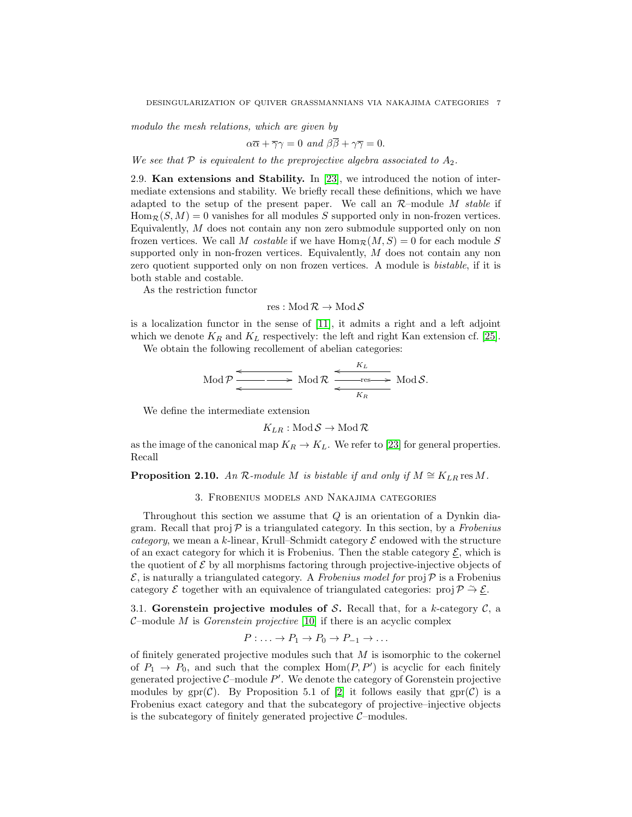modulo the mesh relations, which are given by

$$
\alpha \overline{\alpha} + \overline{\gamma} \gamma = 0 \text{ and } \beta \overline{\beta} + \gamma \overline{\gamma} = 0.
$$

We see that  $P$  is equivalent to the preprojective algebra associated to  $A_2$ .

<span id="page-6-0"></span>2.9. Kan extensions and Stability. In [\[23\]](#page-12-7), we introduced the notion of intermediate extensions and stability. We briefly recall these definitions, which we have adapted to the setup of the present paper. We call an  $\mathcal{R}$ -module M stable if  $\text{Hom}_{\mathcal{R}}(S, M) = 0$  vanishes for all modules S supported only in non-frozen vertices. Equivalently, M does not contain any non zero submodule supported only on non frozen vertices. We call M costable if we have  $\text{Hom}_{\mathcal{R}}(M, S) = 0$  for each module S supported only in non-frozen vertices. Equivalently, M does not contain any non zero quotient supported only on non frozen vertices. A module is bistable, if it is both stable and costable.

As the restriction functor

$$
\operatorname{res} : \operatorname{Mod} \mathcal{R} \to \operatorname{Mod} \mathcal{S}
$$

is a localization functor in the sense of [\[11\]](#page-12-12), it admits a right and a left adjoint which we denote  $K_R$  and  $K_L$  respectively: the left and right Kan extension cf. [\[25\]](#page-12-13).

We obtain the following recollement of abelian categories:

$$
\text{Mod } \mathcal{P} \xrightarrow{\longleftarrow} \text{Mod } \mathcal{R} \xrightarrow{\longleftarrow} \text{Fres} \xrightarrow{\longrightarrow} \text{Mod } \mathcal{S}.
$$

We define the intermediate extension

$$
K_{LR}: \text{Mod}\,\mathcal{S} \to \text{Mod}\,\mathcal{R}
$$

as the image of the canonical map  $K_R \to K_L$ . We refer to [\[23\]](#page-12-7) for general properties. Recall

# <span id="page-6-1"></span>**Proposition 2.10.** An R-module M is bistable if and only if  $M \cong K_{LR}$  res M.

### 3. Frobenius models and Nakajima categories

Throughout this section we assume that  $Q$  is an orientation of a Dynkin diagram. Recall that proj  $\mathcal P$  is a triangulated category. In this section, by a Frobenius *category*, we mean a k-linear, Krull–Schmidt category  $\mathcal E$  endowed with the structure of an exact category for which it is Frobenius. Then the stable category  $\mathcal{E}$ , which is the quotient of  $\mathcal E$  by all morphisms factoring through projective-injective objects of  $\mathcal{E}$ , is naturally a triangulated category. A Frobenius model for proj  $\mathcal{P}$  is a Frobenius category  $\mathcal E$  together with an equivalence of triangulated categories: proj  $\mathcal P \stackrel{\sim}{\rightarrow} \underline{\mathcal E}$ .

<span id="page-6-2"></span>3.1. Gorenstein projective modules of S. Recall that, for a k-category  $\mathcal{C}$ , a  $C$ -module M is *Gorenstein projective* [\[10\]](#page-12-14) if there is an acyclic complex

$$
P: \ldots \to P_1 \to P_0 \to P_{-1} \to \ldots
$$

of finitely generated projective modules such that  $M$  is isomorphic to the cokernel of  $P_1 \rightarrow P_0$ , and such that the complex  $\text{Hom}(P, P')$  is acyclic for each finitely generated projective  $C$ -module  $P'$ . We denote the category of Gorenstein projective modules by  $gpr(\mathcal{C})$ . By Proposition 5.1 of [\[2\]](#page-12-15) it follows easily that  $gpr(\mathcal{C})$  is a Frobenius exact category and that the subcategory of projective–injective objects is the subcategory of finitely generated projective  $C$ -modules.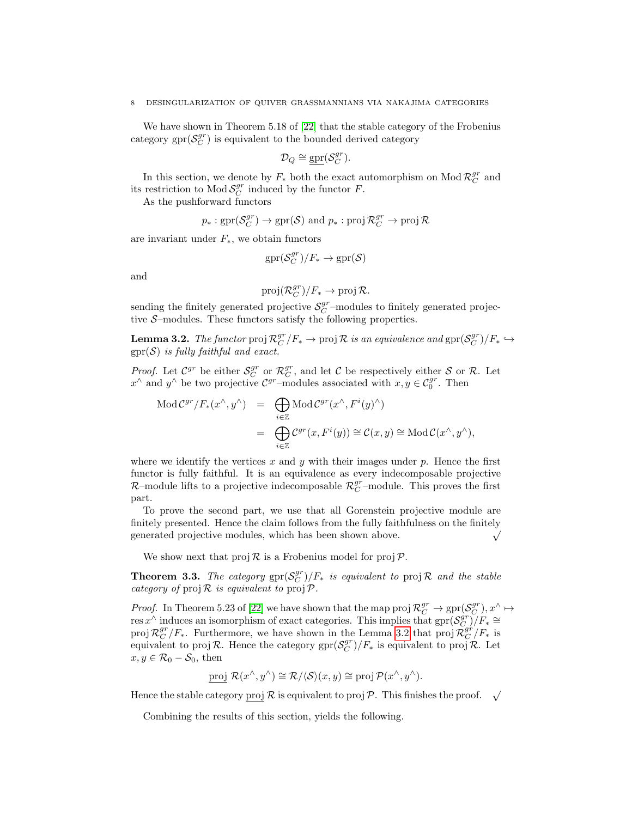We have shown in Theorem 5.18 of [\[22\]](#page-12-9) that the stable category of the Frobenius category  $spr(S_C^{gr})$  is equivalent to the bounded derived category

$$
\mathcal{D}_Q \cong \underline{\text{gpr}}(\mathcal{S}_C^{gr}).
$$

In this section, we denote by  $F_*$  both the exact automorphism on Mod  $\mathcal{R}_C^{gr}$  and its restriction to  $ModS_C^{gr}$  induced by the functor F.

As the pushforward functors

$$
p_*: \text{gpr}(\mathcal{S}_C^{gr}) \to \text{gpr}(\mathcal{S}) \text{ and } p_*: \text{proj } \mathcal{R}_C^{gr} \to \text{proj } \mathcal{R}
$$

are invariant under  $F_*$ , we obtain functors

$$
\text{gpr}(\mathcal{S}^{gr}_C)/F_* \to \text{gpr}(\mathcal{S})
$$

and

$$
\text{proj}(\mathcal{R}_C^{gr})/F_* \to \text{proj}\,\mathcal{R}.
$$

sending the finitely generated projective  $\mathcal{S}_C^{gr}$ -modules to finitely generated projective  $S$ -modules. These functors satisfy the following properties.

<span id="page-7-0"></span>**Lemma 3.2.** The functor proj  $\mathcal{R}_C^{gr}/F_* \to \text{proj } \mathcal{R}$  is an equivalence and  $\text{gpr}(\mathcal{S}_C^{gr})/F_* \hookrightarrow$  $gpr(S)$  is fully faithful and exact.

*Proof.* Let  $\mathcal{C}^{gr}$  be either  $\mathcal{S}^{gr}_C$  or  $\mathcal{R}^{gr}_C$ , and let C be respectively either S or R. Let  $x^{\wedge}$  and  $y^{\wedge}$  be two projective  $\mathcal{C}^{gr}$ -modules associated with  $x, y \in \mathcal{C}_0^{gr}$ . Then

$$
\begin{array}{rcl}\n\operatorname{Mod}\mathcal{C}^{gr}/F_*(x^{\wedge}, y^{\wedge}) & = & \bigoplus\limits_{i \in \mathbb{Z}} \operatorname{Mod}\mathcal{C}^{gr}(x^{\wedge}, F^i(y)^{\wedge}) \\
& = & \bigoplus\limits_{i \in \mathbb{Z}} \mathcal{C}^{gr}(x, F^i(y)) \cong \mathcal{C}(x, y) \cong \operatorname{Mod}\mathcal{C}(x^{\wedge}, y^{\wedge}),\n\end{array}
$$

where we identify the vertices x and y with their images under  $p$ . Hence the first functor is fully faithful. It is an equivalence as every indecomposable projective  $\mathcal{R}-$ module lifts to a projective indecomposable  $\mathcal{R}_{C}^{gr}$ -module. This proves the first part.

To prove the second part, we use that all Gorenstein projective module are finitely presented. Hence the claim follows from the fully faithfulness on the finitely generated projective modules, which has been shown above.  $\sqrt{}$ 

We show next that  $proj R$  is a Frobenius model for  $proj P$ .

<span id="page-7-1"></span>**Theorem 3.3.** The category  $\text{spr}(S_C^{gr})/F_*$  is equivalent to  $\text{proj } R$  and the stable category of  $proj R$  is equivalent to  $proj P$ .

*Proof.* In Theorem 5.23 of [\[22\]](#page-12-9) we have shown that the map proj  $\mathcal{R}_C^{gr} \to \text{gpr}(\mathcal{S}_C^{gr})$ ,  $x^{\wedge} \mapsto$ res x<sup>^</sup> induces an isomorphism of exact categories. This implies that  $gpr(S_C^{gr})/F_* \cong$ proj  $\mathcal{R}_C^{gr}/F_*$ . Furthermore, we have shown in the Lemma [3.2](#page-7-0) that proj  $\mathcal{R}_C^{gr}/F_*$  is equivalent to proj R. Hence the category  $\text{gpr}(\mathcal{S}_C^{gr})/F_*$  is equivalent to proj R. Let  $x, y \in \mathcal{R}_0 - \mathcal{S}_0$ , then

proj 
$$
\mathcal{R}(x^{\wedge}, y^{\wedge}) \cong \mathcal{R}/\langle \mathcal{S} \rangle (x, y) \cong \text{proj } \mathcal{P}(x^{\wedge}, y^{\wedge}).
$$

Hence the stable category proj  $\mathcal R$  is equivalent to proj  $\mathcal P$ . This finishes the proof.  $\sqrt{}$ 

Combining the results of this section, yields the following.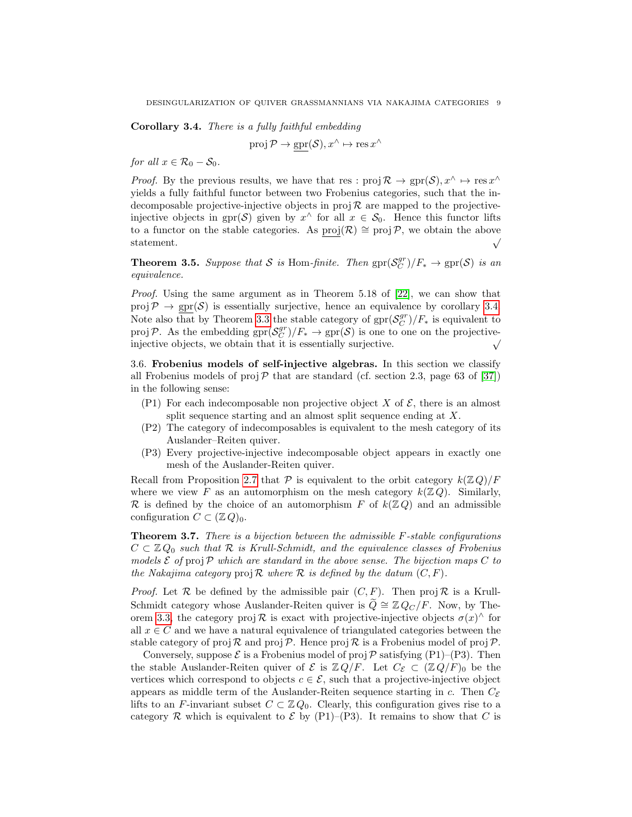<span id="page-8-1"></span>Corollary 3.4. There is a fully faithful embedding

$$
\operatorname{proj} \mathcal{P} \to \operatorname{gpr}(\mathcal{S}), x^{\wedge} \mapsto \operatorname{res} x^{\wedge}
$$

for all  $x \in \mathcal{R}_0 - \mathcal{S}_0$ .

*Proof.* By the previous results, we have that res :  $proj \mathcal{R} \to spr(\mathcal{S}), x^{\wedge} \mapsto res x^{\wedge}$ yields a fully faithful functor between two Frobenius categories, such that the indecomposable projective-injective objects in proj  $\mathcal R$  are mapped to the projectiveinjective objects in gpr(S) given by  $x^{\wedge}$  for all  $x \in S_0$ . Hence this functor lifts to a functor on the stable categories. As  $\underline{proj}(\mathcal{R}) \cong \text{proj}(\mathcal{P}, \text{ we obtain the above statement.}$   $\sqrt{\frac{\text{proj}(\mathcal{R})}{\text{proj}(\mathcal{R})}}$ 

**Theorem 3.5.** Suppose that S is Hom-finite. Then  $\text{gpr}(\mathcal{S}_C^{gr})/F_* \to \text{gpr}(\mathcal{S})$  is an equivalence.

Proof. Using the same argument as in Theorem 5.18 of [\[22\]](#page-12-9), we can show that proj  $P \rightarrow \text{spr}(\mathcal{S})$  is essentially surjective, hence an equivalence by corollary [3.4.](#page-8-1) Note also that by Theorem [3.3](#page-7-1) the stable category of  $spr(S_C^{gr})/F_*$  is equivalent to projP. As the embedding  $\text{spr}(\mathcal{S}_C^{gr})/F_* \to \text{spr}(\mathcal{S})$  is one to one on the projectiveinjective objects, we obtain that it is essentially surjective.  $\sqrt{}$ 

<span id="page-8-0"></span>3.6. Frobenius models of self-injective algebras. In this section we classify all Frobenius models of proj  $\mathcal P$  that are standard (cf. section 2.3, page 63 of [\[37\]](#page-13-6)) in the following sense:

- (P1) For each indecomposable non projective object X of  $\mathcal{E}$ , there is an almost split sequence starting and an almost split sequence ending at X.
- (P2) The category of indecomposables is equivalent to the mesh category of its Auslander–Reiten quiver.
- (P3) Every projective-injective indecomposable object appears in exactly one mesh of the Auslander-Reiten quiver.

Recall from Proposition [2.7](#page-5-0) that P is equivalent to the orbit category  $k(\mathbb{Z} Q)/F$ where we view F as an automorphism on the mesh category  $k(\mathbb{Z},Q)$ . Similarly,  $\mathcal R$  is defined by the choice of an automorphism F of  $k(\mathbb Z Q)$  and an admissible configuration  $C \subset (\mathbb{Z} Q)_0$ .

Theorem 3.7. There is a bijection between the admissible F-stable configurations  $C \subset \mathbb{Z} Q_0$  such that  $\mathcal R$  is Krull-Schmidt, and the equivalence classes of Frobenius models  $\mathcal E$  of proj  $\mathcal P$  which are standard in the above sense. The bijection maps C to the Nakajima category proj  $\mathcal R$  where  $\mathcal R$  is defined by the datum  $(C, F)$ .

*Proof.* Let  $\mathcal R$  be defined by the admissible pair  $(C, F)$ . Then proj  $\mathcal R$  is a Krull-Schmidt category whose Auslander-Reiten quiver is  $\tilde{Q} \cong \mathbb{Z} Q_C/F$ . Now, by The-orem [3.3,](#page-7-1) the category proj  $\mathcal R$  is exact with projective-injective objects  $\sigma(x)$  for all  $x \in C$  and we have a natural equivalence of triangulated categories between the stable category of proj  $\mathcal R$  and proj  $\mathcal P$ . Hence proj  $\mathcal R$  is a Frobenius model of proj  $\mathcal P$ .

Conversely, suppose  $\mathcal E$  is a Frobenius model of proj  $\mathcal P$  satisfying (P1)–(P3). Then the stable Auslander-Reiten quiver of  $\mathcal E$  is  $\mathbb Z Q/F$ . Let  $C_{\mathcal E} \subset (\mathbb Z Q/F)_0$  be the vertices which correspond to objects  $c \in \mathcal{E}$ , such that a projective-injective object appears as middle term of the Auslander-Reiten sequence starting in c. Then  $C_{\mathcal{E}}$ lifts to an F-invariant subset  $C \subset \mathbb{Z} Q_0$ . Clearly, this configuration gives rise to a category R which is equivalent to  $\mathcal E$  by (P1)–(P3). It remains to show that C is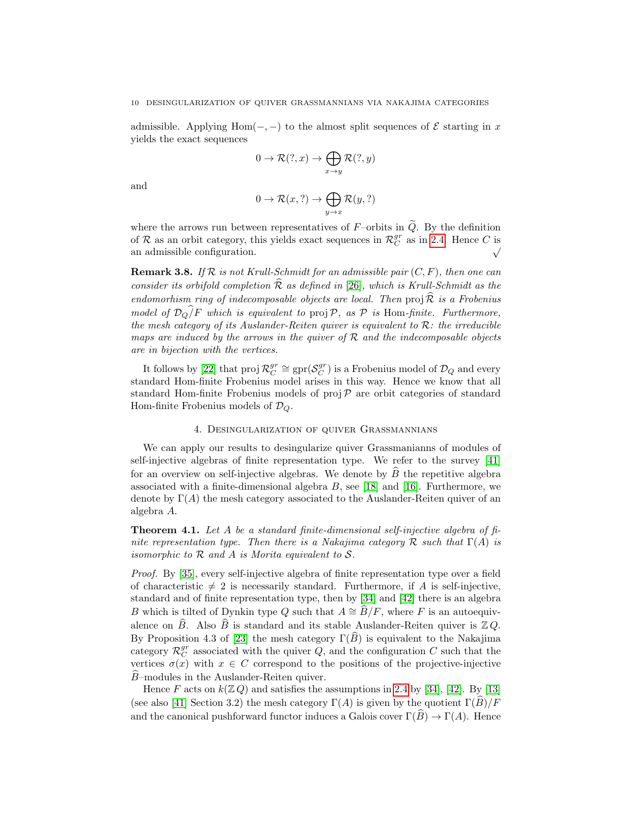admissible. Applying Hom(-, -) to the almost split sequences of  $\mathcal E$  starting in x yields the exact sequences

$$
0 \to \mathcal{R}(?, x) \to \bigoplus_{x \to y} \mathcal{R}(?, y)
$$

and

$$
0 \to \mathcal{R}(x, ?) \to \bigoplus_{y \to x} \mathcal{R}(y, ?)
$$

where the arrows run between representatives of  $F$ –orbits in  $\tilde{Q}$ . By the definition of R as an orbit category, this yields exact sequences in  $\mathcal{R}_C^{gr}$  as in [2.4.](#page-4-0) Hence C is an admissible configuration.

**Remark 3.8.** If  $\mathcal{R}$  is not Krull-Schmidt for an admissible pair  $(C, F)$ , then one can consider its orbifold completion  $\widehat{\mathcal{R}}$  as defined in [\[26\]](#page-12-16), which is Krull-Schmidt as the endomorhism ring of indecomposable objects are local. Then proj $\widehat{\mathcal{R}}$  is a Frobenius model of  $\mathcal{D}_Q/F$  which is equivalent to proj $\mathcal{P}$ , as  $\mathcal{P}$  is Hom-finite. Furthermore, the mesh category of its Auslander-Reiten quiver is equivalent to  $\mathcal{R}$ : the irreducible maps are induced by the arrows in the quiver of  $\mathcal R$  and the indecomposable objects are in bijection with the vertices.

It follows by [\[22\]](#page-12-9) that  $proj R_C^{gr} \cong gpr(S_C^{gr})$  is a Frobenius model of  $\mathcal{D}_Q$  and every standard Hom-finite Frobenius model arises in this way. Hence we know that all standard Hom-finite Frobenius models of  $proj \, \mathcal{P}$  are orbit categories of standard Hom-finite Frobenius models of  $\mathcal{D}_Q$ .

# 4. Desingularization of quiver Grassmannians

<span id="page-9-0"></span>We can apply our results to desingularize quiver Grassmanianns of modules of self-injective algebras of finite representation type. We refer to the survey [\[41\]](#page-13-7) for an overview on self-injective algebras. We denote by  $B$  the repetitive algebra associated with a finite-dimensional algebra  $B$ , see [\[18\]](#page-12-17) and [\[16\]](#page-12-10). Furthermore, we denote by  $\Gamma(A)$  the mesh category associated to the Auslander-Reiten quiver of an algebra A.

<span id="page-9-1"></span>**Theorem 4.1.** Let A be a standard finite-dimensional self-injective algebra of finite representation type. Then there is a Nakajima category R such that  $\Gamma(A)$  is isomorphic to  $R$  and  $A$  is Morita equivalent to  $S$ .

Proof. By [\[35\]](#page-13-8), every self-injective algebra of finite representation type over a field of characteristic  $\neq 2$  is necessarily standard. Furthermore, if A is self-injective, standard and of finite representation type, then by [\[34\]](#page-13-9) and [\[42\]](#page-13-10) there is an algebra B which is tilted of Dynkin type Q such that  $A \cong \widehat{B}/F$ , where F is an autoequivalence on  $\widehat{B}$ . Also  $\widehat{B}$  is standard and its stable Auslander-Reiten quiver is  $\mathbb{Z} Q$ . By Proposition 4.3 of [\[23\]](#page-12-7) the mesh category  $\Gamma(\widehat{B})$  is equivalent to the Nakajima category  $\mathcal{R}_C^{gr}$  associated with the quiver  $Q$ , and the configuration C such that the vertices  $\sigma(x)$  with  $x \in C$  correspond to the positions of the projective-injective  $B$ –modules in the Auslander-Reiten quiver.

Hence F acts on  $k(\mathbb{Z}, Q)$  and satisfies the assumptions in [2.4](#page-4-0) by [\[34\]](#page-13-9), [\[42\]](#page-13-10). By [\[13\]](#page-12-18) (see also [\[41\]](#page-13-7) Section 3.2) the mesh category  $\Gamma(A)$  is given by the quotient  $\Gamma(\widehat{B})/F$ and the canonical pushforward functor induces a Galois cover  $\Gamma(\widehat{B}) \to \Gamma(A)$ . Hence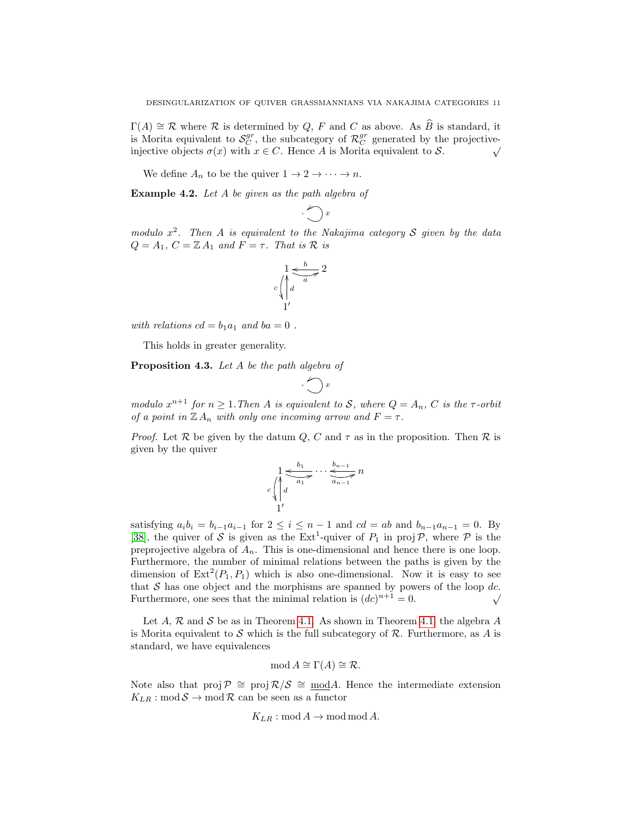$\Gamma(A) \cong \mathcal{R}$  where  $\mathcal{R}$  is determined by Q, F and C as above. As B is standard, it is Morita equivalent to  $S_C^{gr}$ , the subcategory of  $\mathcal{R}_C^{gr}$  generated by the projectiveinjective objects  $\sigma(x)$  with  $x \in C$ . Hence A is Morita equivalent to S.

We define  $A_n$  to be the quiver  $1 \to 2 \to \cdots \to n$ .

Example 4.2. Let A be given as the path algebra of

$$
\cdot \bigodot x
$$

modulo  $x^2$ . Then A is equivalent to the Nakajima category S given by the data  $Q = A_1$ ,  $C = \mathbb{Z} A_1$  and  $F = \tau$ . That is  $\mathcal R$  is

$$
\begin{array}{c}\n1 \leq b \\
c \bigwedge d \\
1\n\end{array} \xrightarrow{b} 2
$$

with relations  $cd = b_1a_1$  and  $ba = 0$ .

This holds in greater generality.

Proposition 4.3. Let A be the path algebra of

$$
\cdot \bigodot x
$$

modulo  $x^{n+1}$  for  $n \geq 1$ . Then A is equivalent to S, where  $Q = A_n$ , C is the  $\tau$ -orbit of a point in  $\mathbb{Z} A_n$  with only one incoming arrow and  $F = \tau$ .

*Proof.* Let  $\mathcal R$  be given by the datum  $Q$ ,  $C$  and  $\tau$  as in the proposition. Then  $\mathcal R$  is given by the quiver

$$
\sum_{\substack{c \text{ odd} \\ c \text{ odd}}} \frac{1}{a_1} \underbrace{b_1 \cdots b_{n-1}}_{a_{n-1}} n
$$

satisfying  $a_i b_i = b_{i-1} a_{i-1}$  for  $2 \le i \le n-1$  and  $cd = ab$  and  $b_{n-1} a_{n-1} = 0$ . By [\[38\]](#page-13-1), the quiver of S is given as the  $Ext^1$ -quiver of  $P_1$  in proj  $\mathcal{P}$ , where  $\mathcal{P}$  is the preprojective algebra of  $A_n$ . This is one-dimensional and hence there is one loop. Furthermore, the number of minimal relations between the paths is given by the dimension of  $\text{Ext}^2(P_1, P_1)$  which is also one-dimensional. Now it is easy to see that S has one object and the morphisms are spanned by powers of the loop dc.<br>Furthermore, one sees that the minimal relation is  $(dc)^{n+1} = 0$ . Furthermore, one sees that the minimal relation is  $(dc)^{n+1} = 0$ .

Let A, R and S be as in Theorem [4.1.](#page-9-1) As shown in Theorem [4.1,](#page-9-1) the algebra A is Morita equivalent to S which is the full subcategory of  $\mathcal R$ . Furthermore, as A is standard, we have equivalences

$$
\operatorname{mod} A \cong \Gamma(A) \cong \mathcal{R}.
$$

Note also that proj  $\mathcal{P} \cong \text{proj } \mathcal{R}/\mathcal{S} \cong \text{mod} A$ . Hence the intermediate extension  $K_{LR}: \text{mod} \, \mathcal{S} \to \text{mod} \, \mathcal{R}$  can be seen as a functor

$$
K_{LR}: \text{mod } A \to \text{mod } A.
$$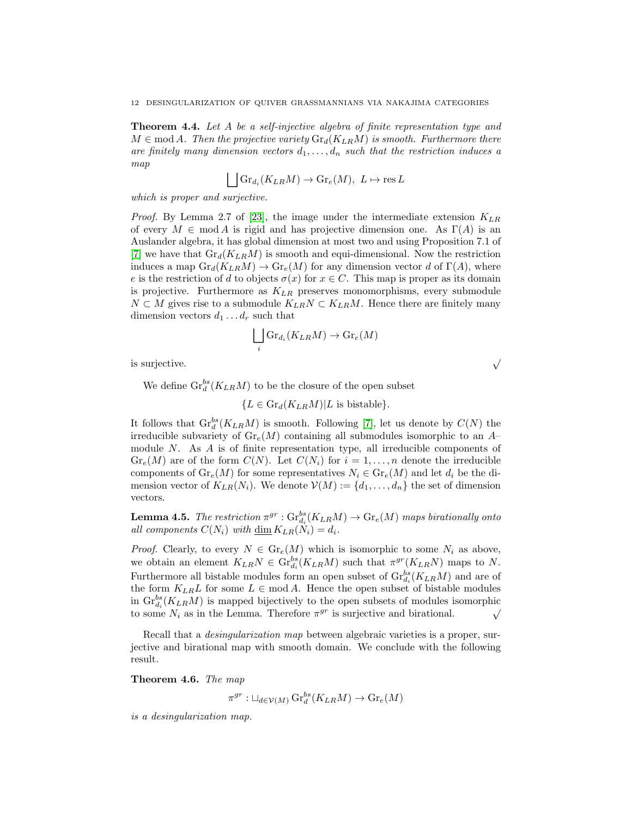Theorem 4.4. Let A be a self-injective algebra of finite representation type and  $M \in \text{mod } A$ . Then the projective variety  $\text{Gr}_d(K_{LR}M)$  is smooth. Furthermore there are finitely many dimension vectors  $d_1, \ldots, d_n$  such that the restriction induces a map

$$
\bigsqcup \mathrm{Gr}_{d_i}(K_{LR}M) \to \mathrm{Gr}_e(M), \ L \mapsto \mathrm{res}\, L
$$

which is proper and surjective.

*Proof.* By Lemma 2.7 of [\[23\]](#page-12-7), the image under the intermediate extension  $K_{LR}$ of every  $M \in \text{mod } A$  is rigid and has projective dimension one. As  $\Gamma(A)$  is an Auslander algebra, it has global dimension at most two and using Proposition 7.1 of [\[7\]](#page-12-5) we have that  $\mathrm{Gr}_d(K_{LR}M)$  is smooth and equi-dimensional. Now the restriction induces a map  $\text{Gr}_d(K_{LR}M) \to \text{Gr}_e(M)$  for any dimension vector d of  $\Gamma(A)$ , where e is the restriction of d to objects  $\sigma(x)$  for  $x \in C$ . This map is proper as its domain is projective. Furthermore as  $K_{LR}$  preserves monomorphisms, every submodule  $N \subset M$  gives rise to a submodule  $K_{LR}N \subset K_{LR}M$ . Hence there are finitely many dimension vectors  $d_1 \ldots d_r$  such that

$$
\bigsqcup_i \text{Gr}_{d_i}(K_{LR}M) \to \text{Gr}_e(M)
$$

is surjective.  $\sqrt{ }$ 

We define  $\text{Gr}_{d}^{bs}(K_{LR}M)$  to be the closure of the open subset

$$
\{L \in \mathrm{Gr}_d(K_{LR}M)|L \text{ is bistable}\}.
$$

It follows that  $\mathrm{Gr}^{bs}_d(K_{LR}M)$  is smooth. Following [\[7\]](#page-12-5), let us denote by  $C(N)$  the irreducible subvariety of  $\text{Gr}_{e}(M)$  containing all submodules isomorphic to an A– module  $N$ . As  $\hat{A}$  is of finite representation type, all irreducible components of  $Gr_{\epsilon}(M)$  are of the form  $C(N)$ . Let  $C(N_i)$  for  $i = 1, ..., n$  denote the irreducible components of  $\text{Gr}_{e}(M)$  for some representatives  $N_i \in \text{Gr}_{e}(M)$  and let  $d_i$  be the dimension vector of  $K_{LR}(N_i)$ . We denote  $\mathcal{V}(M) := \{d_1, \ldots, d_n\}$  the set of dimension vectors.

**Lemma 4.5.** The restriction  $\pi^{gr}: Gr_{d_i}^{bs}(K_{LR}M) \rightarrow Gr_e(M)$  maps birationally onto all components  $C(N_i)$  with  $\underline{\dim} K_{LR}(N_i) = d_i$ .

*Proof.* Clearly, to every  $N \in \mathrm{Gr}_e(M)$  which is isomorphic to some  $N_i$  as above, we obtain an element  $K_{LR}N \in \text{Gr}_{d_i}^{bs}(K_{LR}M)$  such that  $\pi^{gr}(K_{LR}N)$  maps to N. Furthermore all bistable modules form an open subset of  $\mathrm{Gr}^{bs}_{d_i}(K_{LR}M)$  and are of the form  $K_{LR}L$  for some  $L \in \text{mod } A$ . Hence the open subset of bistable modules in  $\mathrm{Gr}_{d_i}^{bs}(K_{LR}M)$  is mapped bijectively to the open subsets of modules isomorphic If  $\mathbf{G} \cdot d_i$  ( $\mathbf{A} \cdot LR^M$ ) is mapped bijectively to the open subsets of modules isomorphic<br>to some  $N_i$  as in the Lemma. Therefore  $\pi^{gr}$  is surjective and birational.

Recall that a *desingularization map* between algebraic varieties is a proper, surjective and birational map with smooth domain. We conclude with the following result.

<span id="page-11-0"></span>Theorem 4.6. The map

$$
\pi^{gr}: \sqcup_{d \in \mathcal{V}(M)} \operatorname{Gr}^{bs}_d(K_{LR}M) \to \operatorname{Gr}_e(M)
$$

is a desingularization map.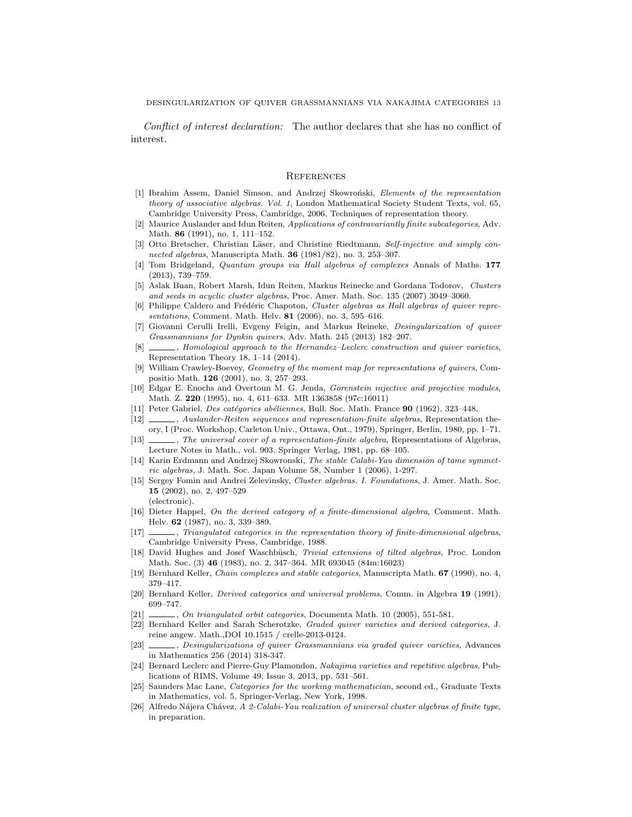Conflict of interest declaration: The author declares that she has no conflict of interest.

### <span id="page-12-1"></span>**REFERENCES**

- [1] Ibrahim Assem, Daniel Simson, and Andrzej Skowroński, Elements of the representation theory of associative algebras. Vol. 1, London Mathematical Society Student Texts, vol. 65, Cambridge University Press, Cambridge, 2006, Techniques of representation theory.
- <span id="page-12-15"></span>[2] Maurice Auslander and Idun Reiten, Applications of contravariantly finite subcategories, Adv. Math. 86 (1991), no. 1, 111-152.
- [3] Otto Bretscher, Christian Läser, and Christine Riedtmann, Self-injective and simply connected algebras, Manuscripta Math.  $36$  (1981/82), no. 3, 253-307.
- <span id="page-12-8"></span>[4] Tom Bridgeland, Quantum groups via Hall algebras of complexes Annals of Maths. 177 (2013), 739–759.
- [5] Aslak Buan, Robert Marsh, Idun Reiten, Markus Reinecke and Gordana Todorov, Clusters and seeds in acyclic cluster algebras, Proc. Amer. Math. Soc. 135 (2007) 3049–3060.
- <span id="page-12-3"></span>[6] Philippe Caldero and Frédéric Chapoton, Cluster algebras as Hall algebras of quiver representations, Comment. Math. Helv. 81 (2006), no. 3, 595–616.
- <span id="page-12-5"></span>[7] Giovanni Cerulli Irelli, Evgeny Feigin, and Markus Reineke, Desingularization of quiver Grassmannians for Dynkin quivers, Adv. Math. 245 (2013) 182–207.
- <span id="page-12-6"></span>[8]  $\Box$ , Homological approach to the Hernandez–Leclerc construction and quiver varieties, Representation Theory 18, 1–14 (2014).
- <span id="page-12-2"></span>[9] William Crawley-Boevey, Geometry of the moment map for representations of quivers, Compositio Math. 126 (2001), no. 3, 257–293.
- <span id="page-12-14"></span>[10] Edgar E. Enochs and Overtoun M. G. Jenda, Gorenstein injective and projective modules, Math. Z. 220 (1995), no. 4, 611–633. MR 1363858 (97c:16011)
- <span id="page-12-12"></span>[11] Peter Gabriel, *Des catégories abéliennes*, Bull. Soc. Math. France 90 (1962), 323-448.
- [12]  $\_\_\_\_\$ , Auslander-Reiten sequences and representation-finite algebras, Representation theory, I (Proc. Workshop, Carleton Univ., Ottawa, Ont., 1979), Springer, Berlin, 1980, pp. 1–71.
- <span id="page-12-18"></span>[13]  $\_\_\_\_\$ n The universal cover of a representation-finite algebra, Representations of Algebras, Lecture Notes in Math., vol. 903, Springer Verlag, 1981, pp. 68–105.
- [14] Karin Erdmann and Andrzej Skowronski, The stable Calabi-Yau dimension of tame symmetric algebras, J. Math. Soc. Japan Volume 58, Number 1 (2006), 1-297.
- <span id="page-12-4"></span>[15] Sergey Fomin and Andrei Zelevinsky, Cluster algebras. I. Foundations, J. Amer. Math. Soc. 15 (2002), no. 2, 497–529 (electronic).
- <span id="page-12-10"></span>[16] Dieter Happel, On the derived category of a finite-dimensional algebra, Comment. Math. Helv. 62 (1987), no. 3, 339–389.
- <span id="page-12-11"></span>[17] , Triangulated categories in the representation theory of finite-dimensional algebras, Cambridge University Press, Cambridge, 1988.
- <span id="page-12-17"></span>[18] David Hughes and Josef Waschbüsch, Trivial extensions of tilted algebras, Proc. London Math. Soc. (3) 46 (1983), no. 2, 347–364. MR 693045 (84m:16023)
- [19] Bernhard Keller, Chain complexes and stable categories, Manuscripta Math. 67 (1990), no. 4, 379–417.
- [20] Bernhard Keller, Derived categories and universal problems, Comm. in Algebra 19 (1991), 699–747.
- <span id="page-12-0"></span> $[21]$  , On triangulated orbit categories, Documenta Math. 10 (2005), 551-581.
- <span id="page-12-9"></span>[22] Bernhard Keller and Sarah Scherotzke, Graded quiver varieties and derived categories, J. reine angew. Math.,DOI 10.1515 / crelle-2013-0124.
- <span id="page-12-7"></span>[23] , Desingularizations of quiver Grassmannians via graded quiver varieties, Advances in Mathematics 256 (2014) 318-347.
- [24] Bernard Leclerc and Pierre-Guy Plamondon, Nakajima varieties and repetitive algebras, Publications of RIMS, Volume 49, Issue 3, 2013, pp. 531–561.
- <span id="page-12-13"></span>[25] Saunders Mac Lane, Categories for the working mathematician, second ed., Graduate Texts in Mathematics, vol. 5, Springer-Verlag, New York, 1998.
- <span id="page-12-16"></span>[26] Alfredo Nájera Chávez, A 2-Calabi-Yau realization of universal cluster algebras of finite type, in preparation.